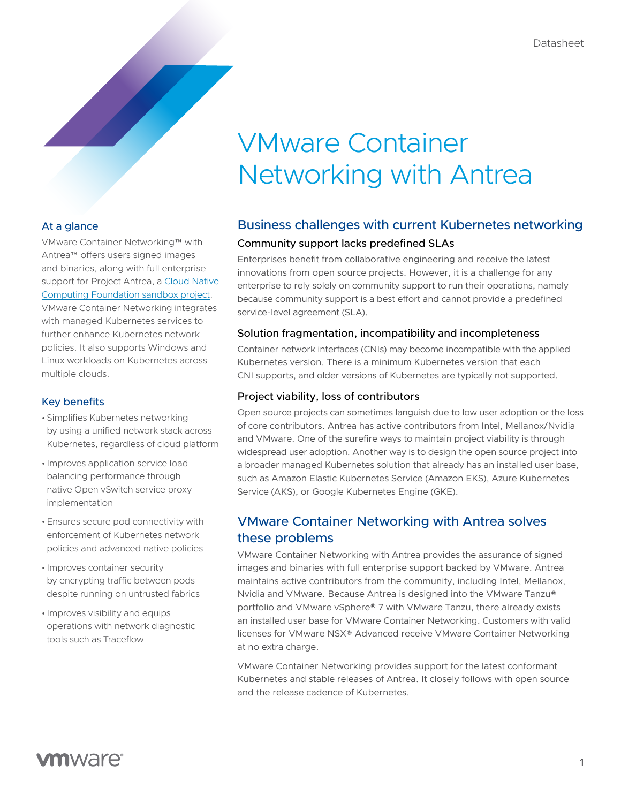### At a glance

VMware Container Networking™ with Antrea™ offers users signed images and binaries, along with full enterprise support for Project Antrea, a Cloud Native [Computing Foundation sandbox project](https://www.cncf.io/sandbox-projects/). VMware Container Networking integrates with managed Kubernetes services to further enhance Kubernetes network policies. It also supports Windows and Linux workloads on Kubernetes across multiple clouds.

#### Key benefits

- •Simplifies Kubernetes networking by using a unified network stack across Kubernetes, regardless of cloud platform
- Improves application service load balancing performance through native Open vSwitch service proxy implementation
- •Ensures secure pod connectivity with enforcement of Kubernetes network policies and advanced native policies
- Improves container security by encrypting traffic between pods despite running on untrusted fabrics
- Improves visibility and equips operations with network diagnostic tools such as Traceflow

# Business challenges with current Kubernetes networking

#### Community support lacks predefined SLAs

Enterprises benefit from collaborative engineering and receive the latest innovations from open source projects. However, it is a challenge for any enterprise to rely solely on community support to run their operations, namely because community support is a best effort and cannot provide a predefined service-level agreement (SLA).

#### Solution fragmentation, incompatibility and incompleteness

Container network interfaces (CNIs) may become incompatible with the applied Kubernetes version. There is a minimum Kubernetes version that each CNI supports, and older versions of Kubernetes are typically not supported.

#### Project viability, loss of contributors

Open source projects can sometimes languish due to low user adoption or the loss of core contributors. Antrea has active contributors from Intel, Mellanox/Nvidia and VMware. One of the surefire ways to maintain project viability is through widespread user adoption. Another way is to design the open source project into a broader managed Kubernetes solution that already has an installed user base, such as Amazon Elastic Kubernetes Service (Amazon EKS), Azure Kubernetes Service (AKS), or Google Kubernetes Engine (GKE).

## VMware Container Networking with Antrea solves these problems

VMware Container Networking with Antrea provides the assurance of signed images and binaries with full enterprise support backed by VMware. Antrea maintains active contributors from the community, including Intel, Mellanox, Nvidia and VMware. Because Antrea is designed into the VMware Tanzu® portfolio and VMware vSphere® 7 with VMware Tanzu, there already exists an installed user base for VMware Container Networking. Customers with valid licenses for VMware NSX® Advanced receive VMware Container Networking at no extra charge.

VMware Container Networking provides support for the latest conformant Kubernetes and stable releases of Antrea. It closely follows with open source and the release cadence of Kubernetes.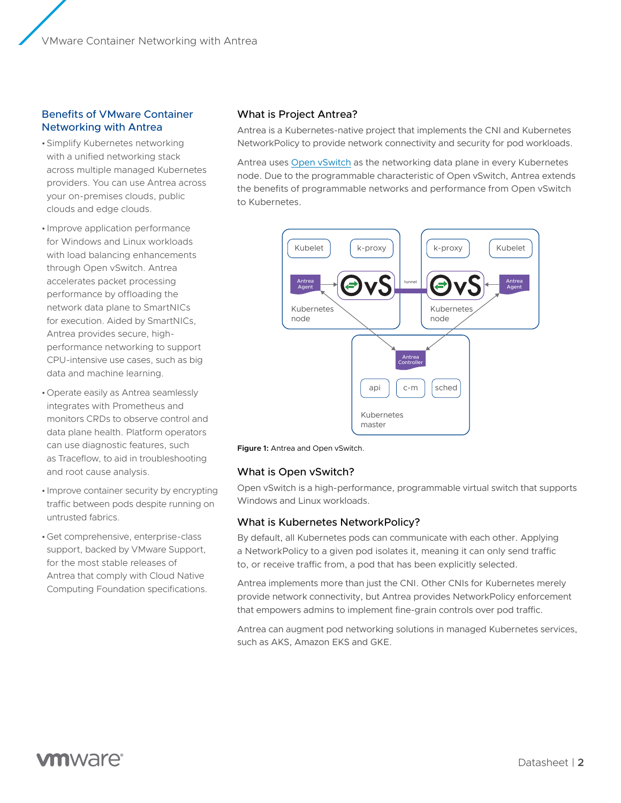#### Benefits of VMware Container Networking with Antrea

- •Simplify Kubernetes networking with a unified networking stack across multiple managed Kubernetes providers. You can use Antrea across your on-premises clouds, public clouds and edge clouds.
- Improve application performance for Windows and Linux workloads with load balancing enhancements through Open vSwitch. Antrea accelerates packet processing performance by offloading the network data plane to SmartNICs for execution. Aided by SmartNICs, Antrea provides secure, highperformance networking to support CPU-intensive use cases, such as big data and machine learning.
- •Operate easily as Antrea seamlessly integrates with Prometheus and monitors CRDs to observe control and data plane health. Platform operators can use diagnostic features, such as Traceflow, to aid in troubleshooting and root cause analysis.
- Improve container security by encrypting traffic between pods despite running on untrusted fabrics.
- •Get comprehensive, enterprise-class support, backed by VMware Support, for the most stable releases of Antrea that comply with Cloud Native Computing Foundation specifications.

#### What is Project Antrea?

Antrea is a Kubernetes-native project that implements the CNI and Kubernetes NetworkPolicy to provide network connectivity and security for pod workloads.

Antrea uses [Open vSwitch](https://www.openvswitch.org/) as the networking data plane in every Kubernetes node. Due to the programmable characteristic of Open vSwitch, Antrea extends the benefits of programmable networks and performance from Open vSwitch to Kubernetes.





#### What is Open vSwitch?

Open vSwitch is a high-performance, programmable virtual switch that supports Windows and Linux workloads.

#### What is Kubernetes NetworkPolicy?

By default, all Kubernetes pods can communicate with each other. Applying a NetworkPolicy to a given pod isolates it, meaning it can only send traffic to, or receive traffic from, a pod that has been explicitly selected.

Antrea implements more than just the CNI. Other CNIs for Kubernetes merely provide network connectivity, but Antrea provides NetworkPolicy enforcement that empowers admins to implement fine-grain controls over pod traffic.

Antrea can augment pod networking solutions in managed Kubernetes services, such as AKS, Amazon EKS and GKE.

# **vm**ware<sup>®</sup>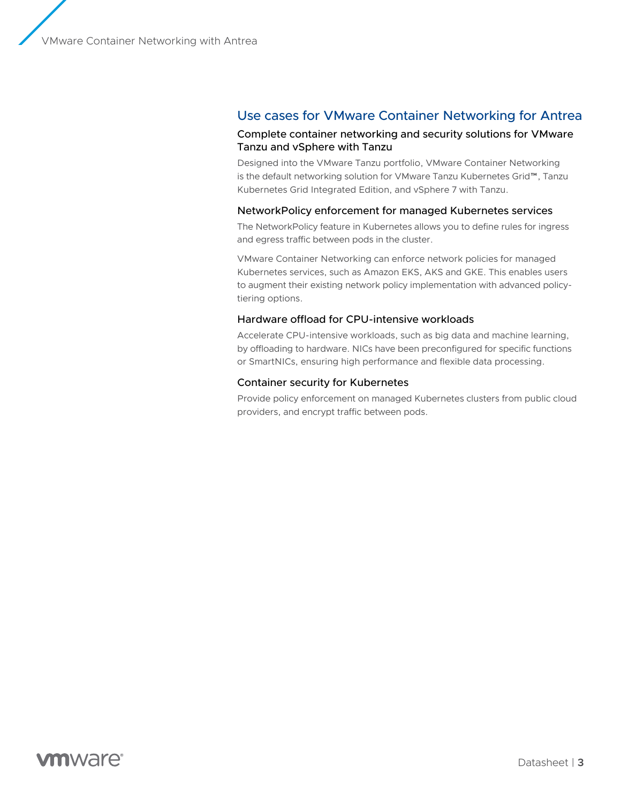## Use cases for VMware Container Networking for Antrea

#### Complete container networking and security solutions for VMware Tanzu and vSphere with Tanzu

Designed into the VMware Tanzu portfolio, VMware Container Networking is the default networking solution for VMware Tanzu Kubernetes Grid™, Tanzu Kubernetes Grid Integrated Edition, and vSphere 7 with Tanzu.

#### NetworkPolicy enforcement for managed Kubernetes services

The NetworkPolicy feature in Kubernetes allows you to define rules for ingress and egress traffic between pods in the cluster.

VMware Container Networking can enforce network policies for managed Kubernetes services, such as Amazon EKS, AKS and GKE. This enables users to augment their existing network policy implementation with advanced policytiering options.

#### Hardware offload for CPU-intensive workloads

Accelerate CPU-intensive workloads, such as big data and machine learning, by offloading to hardware. NICs have been preconfigured for specific functions or SmartNICs, ensuring high performance and flexible data processing.

#### Container security for Kubernetes

Provide policy enforcement on managed Kubernetes clusters from public cloud providers, and encrypt traffic between pods.

# **vm**ware<sup>®</sup>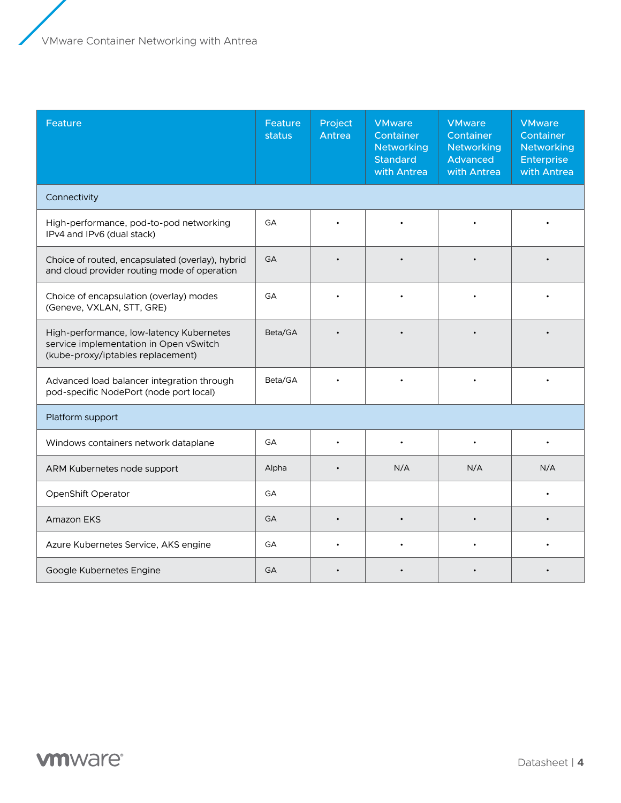| Feature                                                                                                                 | Feature<br>status | Project<br>Antrea | <b>VMware</b><br>Container<br><b>Networking</b><br><b>Standard</b><br>with Antrea | <b>VMware</b><br>Container<br><b>Networking</b><br>Advanced<br>with Antrea | <b>VMware</b><br>Container<br><b>Networking</b><br><b>Enterprise</b><br>with Antrea |  |  |  |
|-------------------------------------------------------------------------------------------------------------------------|-------------------|-------------------|-----------------------------------------------------------------------------------|----------------------------------------------------------------------------|-------------------------------------------------------------------------------------|--|--|--|
| Connectivity                                                                                                            |                   |                   |                                                                                   |                                                                            |                                                                                     |  |  |  |
| High-performance, pod-to-pod networking<br>IPv4 and IPv6 (dual stack)                                                   | GA                |                   |                                                                                   |                                                                            |                                                                                     |  |  |  |
| Choice of routed, encapsulated (overlay), hybrid<br>and cloud provider routing mode of operation                        | <b>GA</b>         |                   |                                                                                   |                                                                            |                                                                                     |  |  |  |
| Choice of encapsulation (overlay) modes<br>(Geneve, VXLAN, STT, GRE)                                                    | GA                |                   |                                                                                   |                                                                            |                                                                                     |  |  |  |
| High-performance, low-latency Kubernetes<br>service implementation in Open vSwitch<br>(kube-proxy/iptables replacement) | Beta/GA           |                   |                                                                                   |                                                                            |                                                                                     |  |  |  |
| Advanced load balancer integration through<br>pod-specific NodePort (node port local)                                   | Beta/GA           |                   |                                                                                   |                                                                            |                                                                                     |  |  |  |
| Platform support                                                                                                        |                   |                   |                                                                                   |                                                                            |                                                                                     |  |  |  |
| Windows containers network dataplane                                                                                    | GA                | $\bullet$         |                                                                                   |                                                                            |                                                                                     |  |  |  |
| ARM Kubernetes node support                                                                                             | Alpha             | $\bullet$         | N/A                                                                               | N/A                                                                        | N/A                                                                                 |  |  |  |
| OpenShift Operator                                                                                                      | GA                |                   |                                                                                   |                                                                            |                                                                                     |  |  |  |
| <b>Amazon EKS</b>                                                                                                       | <b>GA</b>         | $\bullet$         |                                                                                   |                                                                            |                                                                                     |  |  |  |
| Azure Kubernetes Service, AKS engine                                                                                    | GA                |                   |                                                                                   |                                                                            |                                                                                     |  |  |  |
| Google Kubernetes Engine                                                                                                | GA                |                   |                                                                                   |                                                                            |                                                                                     |  |  |  |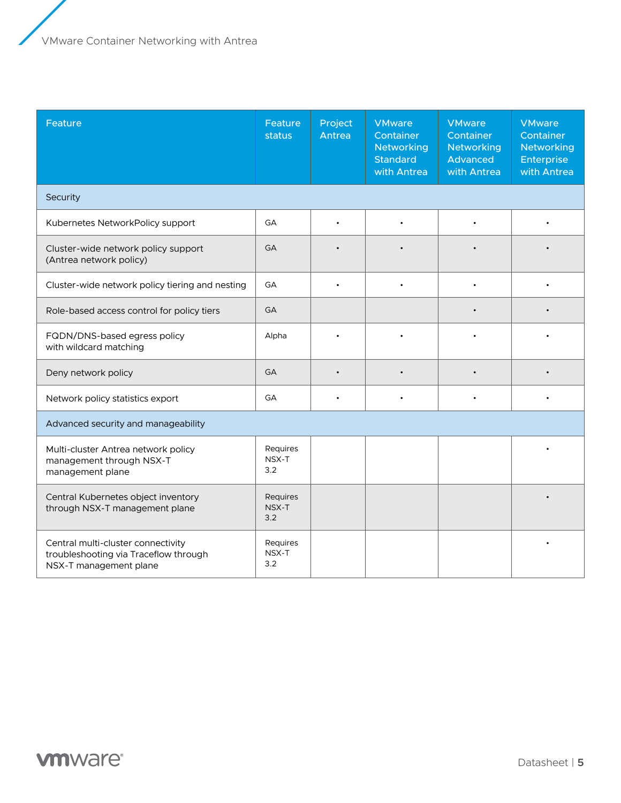| Feature                                                                                               | Feature<br>status        | Project<br>Antrea | <b>VMware</b><br>Container<br><b>Networking</b><br><b>Standard</b><br>with Antrea | <b>VMware</b><br>Container<br><b>Networking</b><br><b>Advanced</b><br>with Antrea | <b>VMware</b><br>Container<br><b>Networking</b><br><b>Enterprise</b><br>with Antrea |  |  |  |
|-------------------------------------------------------------------------------------------------------|--------------------------|-------------------|-----------------------------------------------------------------------------------|-----------------------------------------------------------------------------------|-------------------------------------------------------------------------------------|--|--|--|
| Security                                                                                              |                          |                   |                                                                                   |                                                                                   |                                                                                     |  |  |  |
| Kubernetes NetworkPolicy support                                                                      | GA                       |                   |                                                                                   |                                                                                   |                                                                                     |  |  |  |
| Cluster-wide network policy support<br>(Antrea network policy)                                        | GA                       |                   |                                                                                   |                                                                                   |                                                                                     |  |  |  |
| Cluster-wide network policy tiering and nesting                                                       | GA                       |                   |                                                                                   |                                                                                   |                                                                                     |  |  |  |
| Role-based access control for policy tiers                                                            | <b>GA</b>                |                   |                                                                                   |                                                                                   |                                                                                     |  |  |  |
| FQDN/DNS-based egress policy<br>with wildcard matching                                                | Alpha                    |                   |                                                                                   |                                                                                   |                                                                                     |  |  |  |
| Deny network policy                                                                                   | <b>GA</b>                |                   |                                                                                   |                                                                                   |                                                                                     |  |  |  |
| Network policy statistics export                                                                      | GA                       |                   |                                                                                   |                                                                                   |                                                                                     |  |  |  |
| Advanced security and manageability                                                                   |                          |                   |                                                                                   |                                                                                   |                                                                                     |  |  |  |
| Multi-cluster Antrea network policy<br>management through NSX-T<br>management plane                   | Requires<br>NSX-T<br>3.2 |                   |                                                                                   |                                                                                   |                                                                                     |  |  |  |
| Central Kubernetes object inventory<br>through NSX-T management plane                                 | Requires<br>NSX-T<br>3.2 |                   |                                                                                   |                                                                                   |                                                                                     |  |  |  |
| Central multi-cluster connectivity<br>troubleshooting via Traceflow through<br>NSX-T management plane | Requires<br>NSX-T<br>3.2 |                   |                                                                                   |                                                                                   |                                                                                     |  |  |  |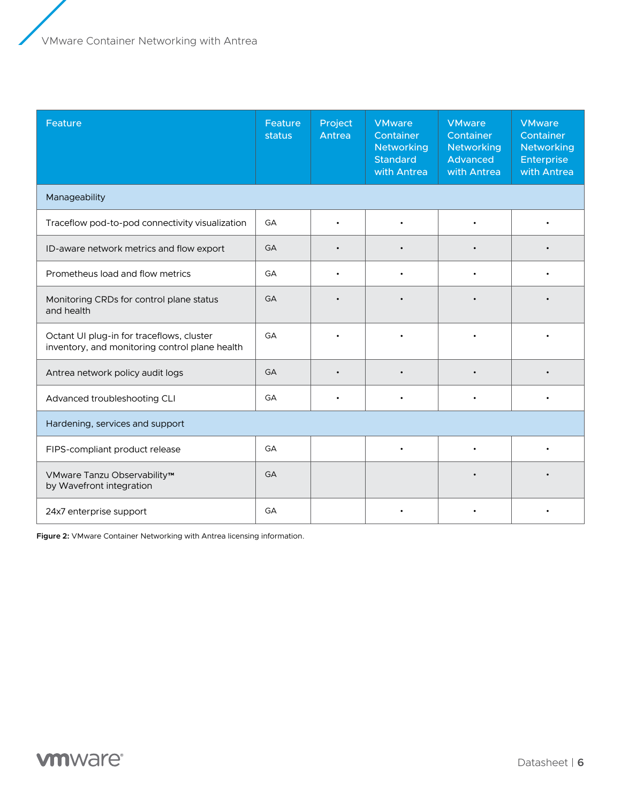| Feature                                                                                     | Feature<br>status | Project<br>Antrea | <b>VMware</b><br>Container<br><b>Networking</b><br><b>Standard</b><br>with Antrea | <b>VMware</b><br>Container<br><b>Networking</b><br>Advanced<br>with Antrea | <b>VMware</b><br>Container<br><b>Networking</b><br>Enterprise<br>with Antrea |  |
|---------------------------------------------------------------------------------------------|-------------------|-------------------|-----------------------------------------------------------------------------------|----------------------------------------------------------------------------|------------------------------------------------------------------------------|--|
| Manageability                                                                               |                   |                   |                                                                                   |                                                                            |                                                                              |  |
| Traceflow pod-to-pod connectivity visualization                                             | GA                |                   |                                                                                   |                                                                            |                                                                              |  |
| ID-aware network metrics and flow export                                                    | GA                |                   |                                                                                   |                                                                            |                                                                              |  |
| Prometheus load and flow metrics                                                            | GA                |                   |                                                                                   |                                                                            |                                                                              |  |
| Monitoring CRDs for control plane status<br>and health                                      | GA                |                   |                                                                                   |                                                                            |                                                                              |  |
| Octant UI plug-in for traceflows, cluster<br>inventory, and monitoring control plane health | GA                |                   |                                                                                   |                                                                            |                                                                              |  |
| Antrea network policy audit logs                                                            | <b>GA</b>         |                   |                                                                                   |                                                                            |                                                                              |  |
| Advanced troubleshooting CLI                                                                | GA                |                   |                                                                                   |                                                                            |                                                                              |  |
| Hardening, services and support                                                             |                   |                   |                                                                                   |                                                                            |                                                                              |  |
| FIPS-compliant product release                                                              | GA                |                   |                                                                                   |                                                                            |                                                                              |  |
| VMware Tanzu Observability™<br>by Wavefront integration                                     | GA                |                   |                                                                                   |                                                                            |                                                                              |  |
| 24x7 enterprise support                                                                     | GA                |                   |                                                                                   |                                                                            |                                                                              |  |

**Figure 2:** VMware Container Networking with Antrea licensing information.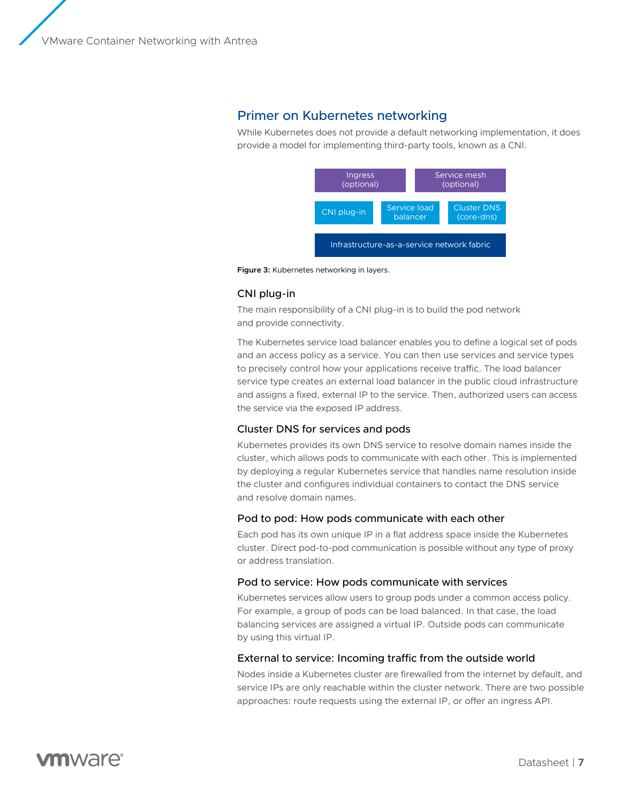## Primer on Kubernetes networking

While Kubernetes does not provide a default networking implementation, it does provide a model for implementing third-party tools, known as a CNI.



**Figure 3:** Kubernetes networking in layers.

#### CNI plug-in

The main responsibility of a CNI plug-in is to build the pod network and provide connectivity.

The Kubernetes service load balancer enables you to define a logical set of pods and an access policy as a service. You can then use services and service types to precisely control how your applications receive traffic. The load balancer service type creates an external load balancer in the public cloud infrastructure and assigns a fixed, external IP to the service. Then, authorized users can access the service via the exposed IP address.

#### Cluster DNS for services and pods

Kubernetes provides its own DNS service to resolve domain names inside the cluster, which allows pods to communicate with each other. This is implemented by deploying a regular Kubernetes service that handles name resolution inside the cluster and configures individual containers to contact the DNS service and resolve domain names.

#### Pod to pod: How pods communicate with each other

Each pod has its own unique IP in a flat address space inside the Kubernetes cluster. Direct pod-to-pod communication is possible without any type of proxy or address translation.

#### Pod to service: How pods communicate with services

Kubernetes services allow users to group pods under a common access policy. For example, a group of pods can be load balanced. In that case, the load balancing services are assigned a virtual IP. Outside pods can communicate by using this virtual IP.

#### External to service: Incoming traffic from the outside world

Nodes inside a Kubernetes cluster are firewalled from the internet by default, and service IPs are only reachable within the cluster network. There are two possible approaches: route requests using the external IP, or offer an ingress API.